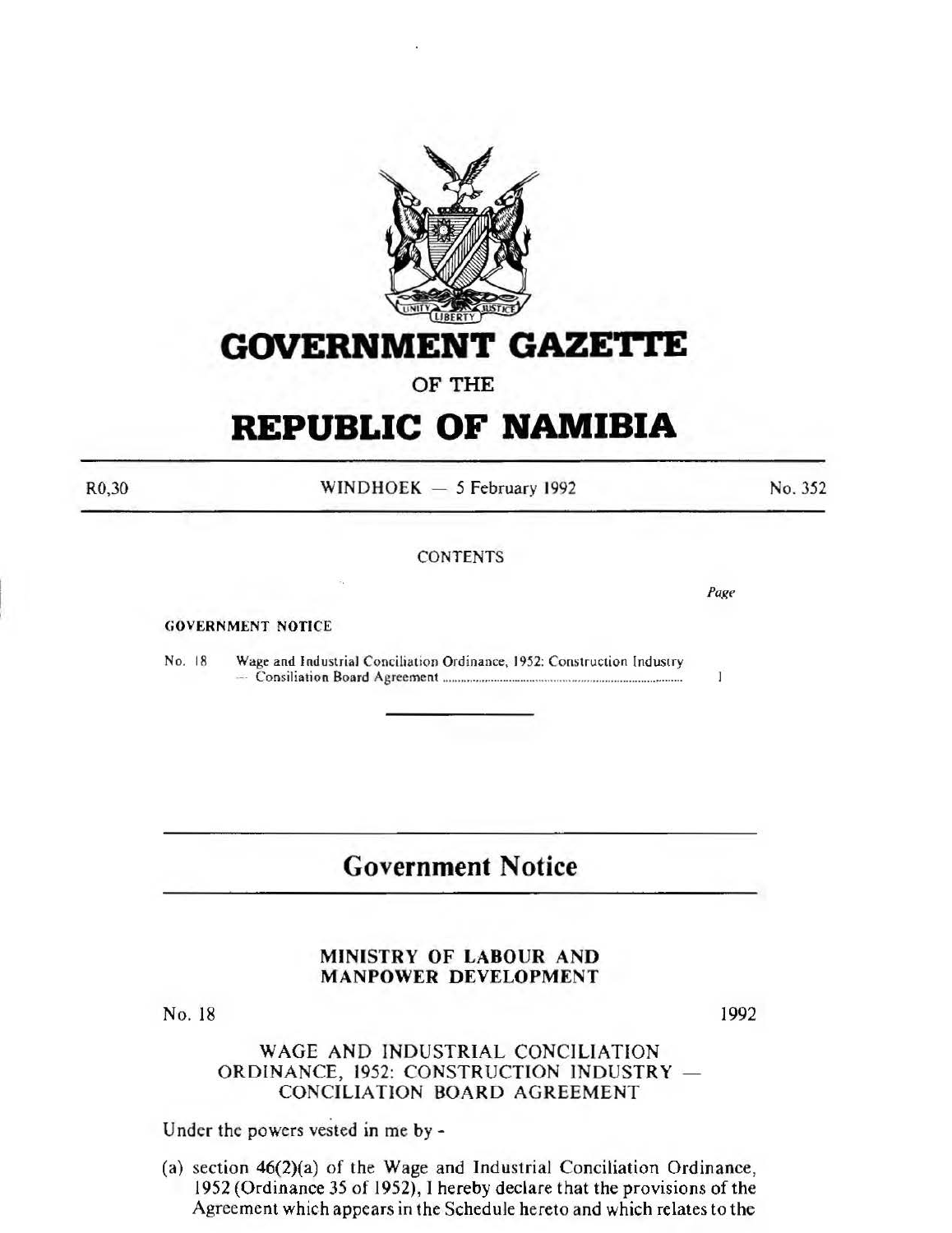

# **GOVERNMENT GAZE'rtE**

OF THE

# **REPUBLIC OF NAMIBIA**

R0,30

 $WINDHOEK - 5$  February 1992

**CONTENTS** 

GOVERNMENT NOTICE

No. 18 Wage and Industrial Conciliation Ordinance, 1952: Construction Industry -· Consiliation Board Agreement ............................................................................... .

# **Government Notice**

# MINISTRY OF LABOUR AND MANPOWER DEVELOPMENT

No. 18

1992

# WAGE AND INDUSTRIAL CONCILIATION ORDINANCE, 1952: CONSTRUCTION INDUSTRY CONCILIATION BOARD AGREEMENT

Under the powers vested in me by-

(a) section 46(2)(a) of the Wage and Industrial Conciliation Ordinance, 1952 (Ordinance 35 of 1952), I hereby declare that the provisions of the Agreement which appears in the Schedule hereto and which relates to the

*Page* 

T

No. 352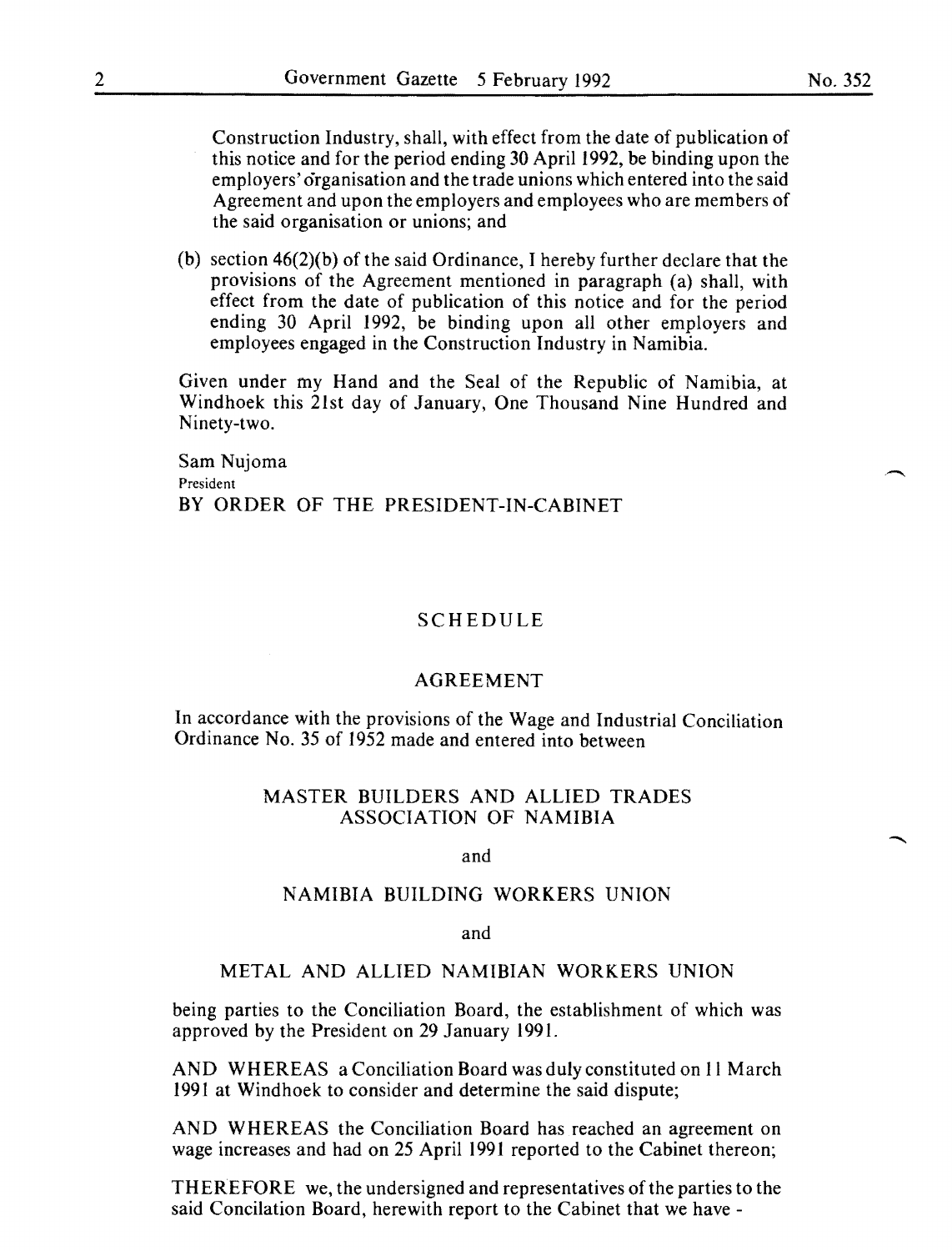Construction Industry, shall, with effect from the date of publication of this notice and for the period ending 30 April 1992, be binding upon the employers' organisation and the trade unions which entered into the said Agreement and upon the employers and employees who are members of the said organisation or unions; and

(b) section  $46(2)(b)$  of the said Ordinance, I hereby further declare that the provisions of the Agreement mentioned in paragraph (a) shall, with effect from the date of publication of this notice and for the period ending 30 April 1992, be binding upon all other employers and employees engaged in the Construction Industry in Namibia.

Given under my Hand and the Seal of the Republic of Namibia, at Windhoek this 21st day of January, One Thousand Nine Hundred and Ninety-two.

Sam Nujoma President BY ORDER OF THE PRESIDENT-IN-CABINET

## SCHEDULE

#### AGREEMENT

In accordance with the provisions of the Wage and Industrial Conciliation Ordinance No. 35 of 1952 made and entered into between

# MASTER BUILDERS AND ALLIED TRADES ASSOCIATION OF NAMIBIA

#### and

### NAMIBIA BUILDING WORKERS UNION

#### and

## METAL AND ALLIED NAMIBIAN WORKERS UNION

being parties to the Conciliation Board, the establishment of which was approved by the President on 29 January 1991.

AND WHEREAS a Conciliation Board was duly constituted on II March 1991 at Windhoek to consider and determine the said dispute;

AND WHEREAS the Conciliation Board has reached an agreement on wage increases and had on 25 April 1991 reported to the Cabinet thereon;

THEREFORE we, the undersigned and representatives of the parties to the said Concilation Board, herewith report to the Cabinet that we have -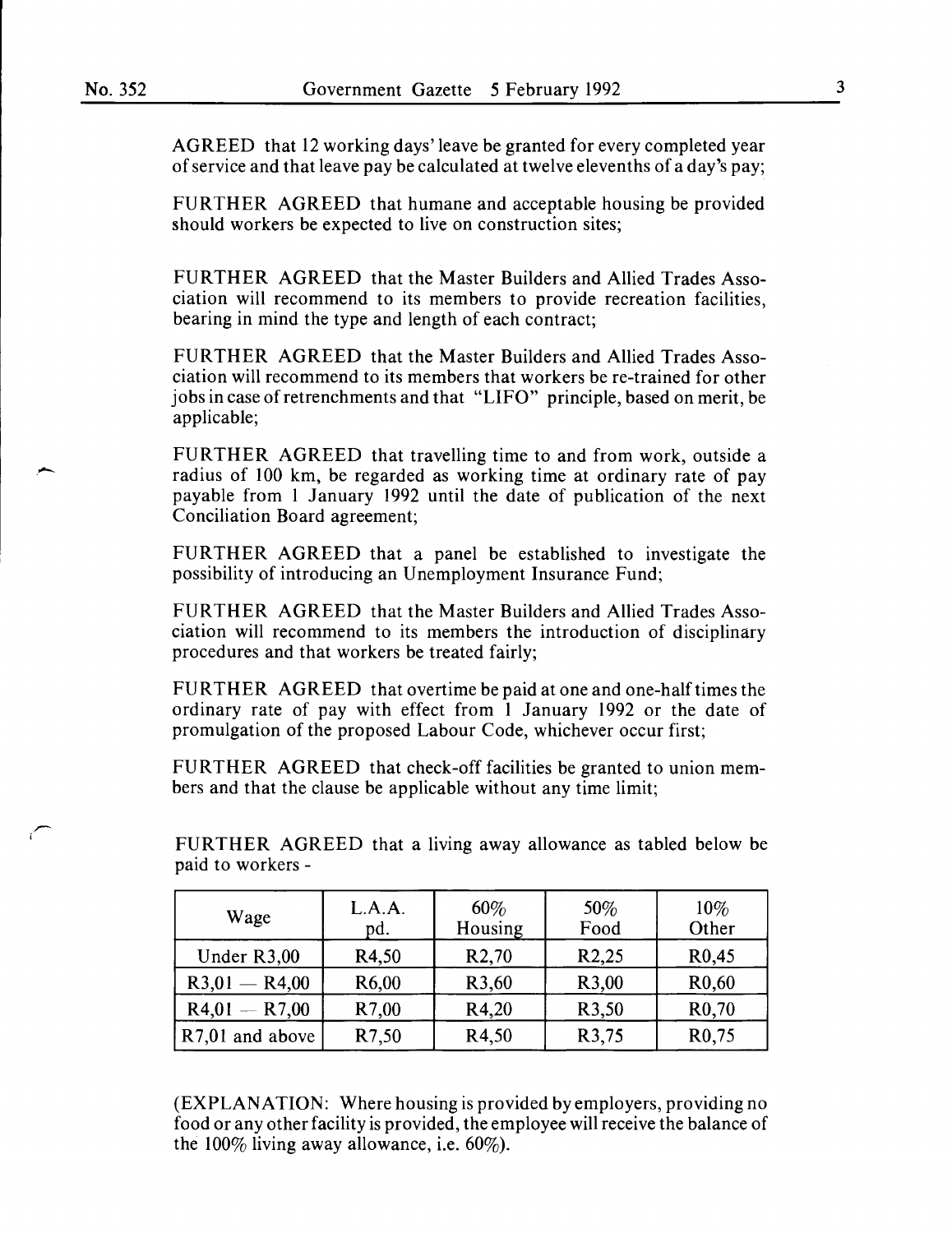--

AGREED that 12 working days' leave be granted for every completed year of service and that leave pay be calculated at twelve elevenths of a day's pay;

FURTHER AGREED that humane and acceptable housing be provided should workers be expected to live on construction sites;

FURTHER AGREED that the Master Builders and Allied Trades Association will recommend to its members to provide recreation facilities, bearing in mind the type and length of each contract;

FURTHER AGREED that the Master Builders and Allied Trades Association will recommend to its members that workers be re-trained for other jobs in case of retrenchments and that "LIFO" principle, based on merit, be applicable;

FURTHER AGREED that travelling time to and from work, outside a radius of 100 km, be regarded as working time at ordinary rate of pay payable from 1 January 1992 until the date of publication of the next Conciliation Board agreement;

FURTHER AGREED that a panel be established to investigate the possibility of introducing an Unemployment Insurance Fund;

FURTHER AGREED that the Master Builders and Allied Trades Association will recommend to its members the introduction of disciplinary procedures and that workers be treated fairly;

FURTHER AGREED that overtime be paid at one and one-half times the ordinary rate of pay with effect from 1 January 1992 or the date of promulgation of the proposed Labour Code, whichever occur first;

FURTHER AGREED that check-off facilities be granted to union members and that the clause be applicable without any time limit;

FURTHER AGREED that a living away allowance as tabled below be paid to workers -

| Wage            | L.A.A.<br>pd.      | 60%<br>Housing     | 50%<br>Food        | $10\%$<br>Other    |
|-----------------|--------------------|--------------------|--------------------|--------------------|
| Under R3,00     | R4,50              | R <sub>2</sub> ,70 | R <sub>2</sub> ,25 | R0,45              |
| $R3,01 - R4,00$ | R <sub>6</sub> ,00 | R3,60              | R <sub>3</sub> ,00 | R <sub>0</sub> ,60 |
| $R4,01 - R7,00$ | R7,00              | R4,20              | R3,50              | R <sub>0</sub> ,70 |
| R7,01 and above | R7,50              | R4,50              | R3,75              | R <sub>0</sub> ,75 |

(EXPLANATION: Where housing is provided by employers, providing no food or any other facility is provided, the employee will receive the balance of the 100% living away allowance, i.e. 60%).